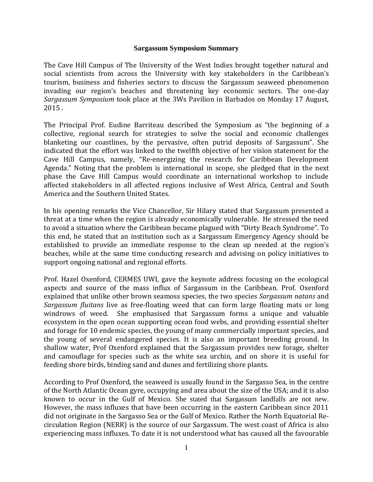## **Sargassum Symposium Summary**

The Cave Hill Campus of The University of the West Indies brought together natural and social scientists from across the University with key stakeholders in the Caribbean's tourism, business and fisheries sectors to discuss the Sargassum seaweed phenomenon invading our region's beaches and threatening key economic sectors. The one-day *Sargassum Symposium* took place at the 3Ws Pavilion in Barbados on Monday 17 August, 2015 .

The Principal Prof. Eudine Barriteau described the Symposium as "the beginning of a collective, regional search for strategies to solve the social and economic challenges blanketing our coastlines, by the pervasive, often putrid deposits of Sargassum". She indicated that the effort was linked to the twelfth objective of her vision statement for the Cave Hill Campus, namely, "Re-energizing the research for Caribbean Development Agenda." Noting that the problem is international in scope, she pledged that in the next phase the Cave Hill Campus would coordinate an international workshop to include affected stakeholders in all affected regions inclusive of West Africa, Central and South America and the Southern United States.

In his opening remarks the Vice Chancellor, Sir Hilary stated that Sargassum presented a threat at a time when the region is already economically vulnerable. He stressed the need to avoid a situation where the Caribbean became plagued with "Dirty Beach Syndrome". To this end, he stated that an institution such as a Sargassum Emergency Agency should be established to provide an immediate response to the clean up needed at the region's beaches, while at the same time conducting research and advising on policy initiatives to support ongoing national and regional efforts.

Prof. Hazel Oxenford, CERMES UWI, gave the keynote address focusing on the ecological aspects and source of the mass influx of Sargassum in the Caribbean. Prof. Oxenford explained that unlike other brown seamoss species, the two species *Sargassum natans* and *Sargassum fluitans* live as free-floating weed that can form large floating mats or long windrows of weed. She emphasised that Sargassum forms a unique and valuable ecosystem in the open ocean supporting ocean food webs, and providing essential shelter and forage for 10 endemic species, the young of many commercially important species, and the young of several endangered species. It is also an important breeding ground. In shallow water, Prof Oxenford explained that the Sargassum provides new forage, shelter and camouflage for species such as the white sea urchin, and on shore it is useful for feeding shore birds, binding sand and dunes and fertilizing shore plants.

According to Prof Oxenford, the seaweed is usually found in the Sargasso Sea, in the centre of the North Atlantic Ocean gyre, occupying and area about the size of the USA; and it is also known to occur in the Gulf of Mexico. She stated that Sargassum landfalls are not new. However, the mass influxes that have been occurring in the eastern Caribbean since 2011 did not originate in the Sargasso Sea or the Gulf of Mexico. Rather the North Equatorial Recirculation Region (NERR) is the source of our Sargassum. The west coast of Africa is also experiencing mass influxes. To date it is not understood what has caused all the favourable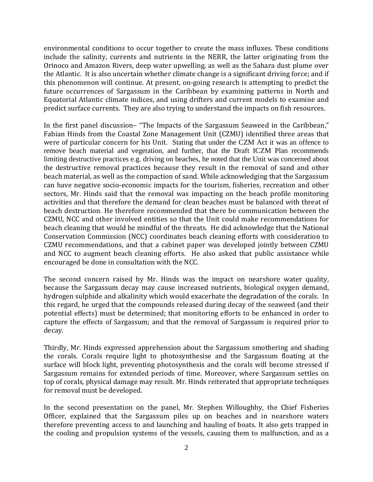environmental conditions to occur together to create the mass influxes. These conditions include the salinity, currents and nutrients in the NERR, the latter originating from the Orinoco and Amazon Rivers, deep water upwelling, as well as the Sahara dust plume over the Atlantic. It is also uncertain whether climate change is a significant driving force; and if this phenomenon will continue. At present, on-going research is attempting to predict the future occurrences of Sargassum in the Caribbean by examining patterns in North and Equatorial Atlantic climate indices, and using drifters and current models to examine and predict surface currents. They are also trying to understand the impacts on fish resources.

In the first panel discussion– "The Impacts of the Sargassum Seaweed in the Caribbean," Fabian Hinds from the Coastal Zone Management Unit (CZMU) identified three areas that were of particular concern for his Unit. Stating that under the CZM Act it was an offence to remove beach material and vegetation, and further, that the Draft ICZM Plan recommends limiting destructive practices e.g. driving on beaches, he noted that the Unit was concerned about the destructive removal practices because they result in the removal of sand and other beach material, as well as the compaction of sand. While acknowledging that the Sargassum can have negative socio-economic impacts for the tourism, fisheries, recreation and other sectors, Mr. Hinds said that the removal was impacting on the beach profile monitoring activities and that therefore the demand for clean beaches must be balanced with threat of beach destruction. He therefore recommended that there be communication between the CZMU, NCC and other involved entities so that the Unit could make recommendations for beach cleaning that would be mindful of the threats. He did acknowledge that the National Conservation Commission (NCC) coordinates beach cleaning efforts with consideration to CZMU recommendations, and that a cabinet paper was developed jointly between CZMU and NCC to augment beach cleaning efforts. He also asked that public assistance while encouraged be done in consultation with the NCC.

The second concern raised by Mr. Hinds was the impact on nearshore water quality, because the Sargassum decay may cause increased nutrients, biological oxygen demand, hydrogen sulphide and alkalinity which would exacerbate the degradation of the corals. In this regard, he urged that the compounds released during decay of the seaweed (and their potential effects) must be determined; that monitoring efforts to be enhanced in order to capture the effects of Sargassum; and that the removal of Sargassum is required prior to decay.

Thirdly, Mr. Hinds expressed apprehension about the Sargassum smothering and shading the corals. Corals require light to photosynthesise and the Sargassum floating at the surface will block light, preventing photosynthesis and the corals will become stressed if Sargassum remains for extended periods of time. Moreover, where Sargassum settles on top of corals, physical damage may result. Mr. Hinds reiterated that appropriate techniques for removal must be developed.

In the second presentation on the panel, Mr. Stephen Willoughby, the Chief Fisheries Officer, explained that the Sargassum piles up on beaches and in nearshore waters therefore preventing access to and launching and hauling of boats. It also gets trapped in the cooling and propulsion systems of the vessels, causing them to malfunction, and as a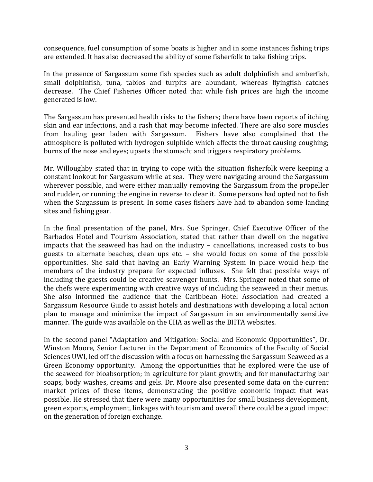consequence, fuel consumption of some boats is higher and in some instances fishing trips are extended. It has also decreased the ability of some fisherfolk to take fishing trips.

In the presence of Sargassum some fish species such as adult dolphinfish and amberfish, small dolphinfish, tuna, tabios and turpits are abundant, whereas flyingfish catches decrease. The Chief Fisheries Officer noted that while fish prices are high the income generated is low.

The Sargassum has presented health risks to the fishers; there have been reports of itching skin and ear infections, and a rash that may become infected. There are also sore muscles from hauling gear laden with Sargassum. Fishers have also complained that the atmosphere is polluted with hydrogen sulphide which affects the throat causing coughing; burns of the nose and eyes; upsets the stomach; and triggers respiratory problems.

Mr. Willoughby stated that in trying to cope with the situation fisherfolk were keeping a constant lookout for Sargassum while at sea. They were navigating around the Sargassum wherever possible, and were either manually removing the Sargassum from the propeller and rudder, or running the engine in reverse to clear it. Some persons had opted not to fish when the Sargassum is present. In some cases fishers have had to abandon some landing sites and fishing gear.

In the final presentation of the panel, Mrs. Sue Springer, Chief Executive Officer of the Barbados Hotel and Tourism Association, stated that rather than dwell on the negative impacts that the seaweed has had on the industry – cancellations, increased costs to bus guests to alternate beaches, clean ups etc. – she would focus on some of the possible opportunities. She said that having an Early Warning System in place would help the members of the industry prepare for expected influxes. She felt that possible ways of including the guests could be creative scavenger hunts. Mrs. Springer noted that some of the chefs were experimenting with creative ways of including the seaweed in their menus. She also informed the audience that the Caribbean Hotel Association had created a Sargassum Resource Guide to assist hotels and destinations with developing a local action plan to manage and minimize the impact of Sargassum in an environmentally sensitive manner. The guide was available on the CHA as well as the BHTA websites.

In the second panel "Adaptation and Mitigation: Social and Economic Opportunities", Dr. Winston Moore, Senior Lecturer in the Department of Economics of the Faculty of Social Sciences UWI, led off the discussion with a focus on harnessing the Sargassum Seaweed as a Green Economy opportunity. Among the opportunities that he explored were the use of the seaweed for bioabsorption; in agriculture for plant growth; and for manufacturing bar soaps, body washes, creams and gels. Dr. Moore also presented some data on the current market prices of these items, demonstrating the positive economic impact that was possible. He stressed that there were many opportunities for small business development, green exports, employment, linkages with tourism and overall there could be a good impact on the generation of foreign exchange.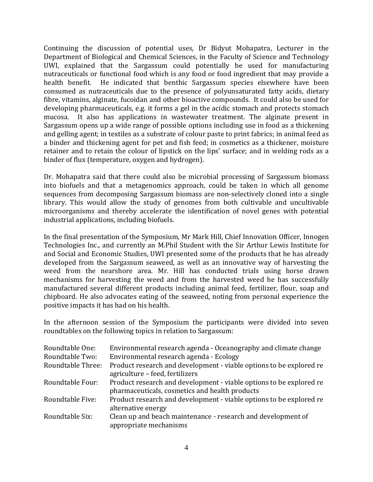Continuing the discussion of potential uses, Dr Bidyut Mohapatra, Lecturer in the Department of Biological and Chemical Sciences, in the Faculty of Science and Technology UWI, explained that the Sargassum could potentially be used for manufacturing nutraceuticals or functional food which is any food or food ingredient that may provide a health benefit. He indicated that benthic Sargassum species elsewhere have been consumed as nutraceuticals due to the presence of polyunsaturated fatty acids, dietary fibre, vitamins, alginate, fucoidan and other bioactive compounds. It could also be used for developing pharmaceuticals, e.g. it forms a gel in the acidic stomach and protects stomach mucosa. It also has applications in wastewater treatment. The alginate present in Sargassum opens up a wide range of possible options including use in food as a thickening and gelling agent; in textiles as a substrate of colour paste to print fabrics; in animal feed as a binder and thickening agent for pet and fish feed; in cosmetics as a thickener, moisture retainer and to retain the colour of lipstick on the lips' surface; and in welding rods as a binder of flux (temperature, oxygen and hydrogen).

Dr. Mohapatra said that there could also be microbial processing of Sargassum biomass into biofuels and that a metagenomics approach, could be taken in which all genome sequences from decomposing Sargassum biomass are non-selectively cloned into a single library. This would allow the study of genomes from both cultivable and uncultivable microorganisms and thereby accelerate the identification of novel genes with potential industrial applications, including biofuels.

In the final presentation of the Symposium, Mr Mark Hill, Chief Innovation Officer, Innogen Technologies Inc., and currently an M.Phil Student with the Sir Arthur Lewis Institute for and Social and Economic Studies, UWI presented some of the products that he has already developed from the Sargassum seaweed, as well as an innovative way of harvesting the weed from the nearshore area. Mr. Hill has conducted trials using horse drawn mechanisms for harvesting the weed and from the harvested weed he has successfully manufactured several different products including animal feed, fertilizer, flour, soap and chipboard. He also advocates eating of the seaweed, noting from personal experience the positive impacts it has had on his health.

In the afternoon session of the Symposium the participants were divided into seven roundtables on the following topics in relation to Sargassum:

| Roundtable One:   | Environmental research agenda - Oceanography and climate change     |
|-------------------|---------------------------------------------------------------------|
| Roundtable Two:   | Environmental research agenda - Ecology                             |
| Roundtable Three: | Product research and development - viable options to be explored re |
|                   | agriculture - feed, fertilizers                                     |
| Roundtable Four:  | Product research and development - viable options to be explored re |
|                   | pharmaceuticals, cosmetics and health products                      |
| Roundtable Five:  | Product research and development - viable options to be explored re |
|                   | alternative energy                                                  |
| Roundtable Six:   | Clean up and beach maintenance - research and development of        |
|                   | appropriate mechanisms                                              |